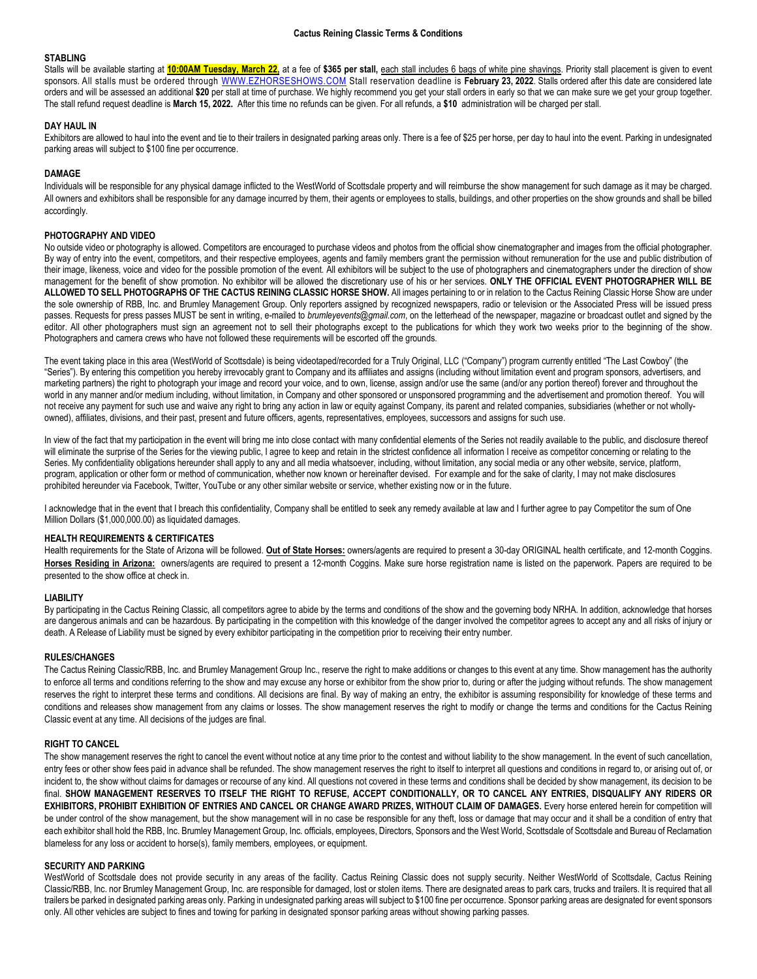## **STABLING**

Stalls will be available starting at 10:00AM Tuesday, March 22, at a fee of \$365 per stall, each stall includes 6 bags of white pine shavings. Priority stall placement is given to event sponsors. All stalls must be ordered through [WWW.EZHORSESHOWS.COM](http://www.ezhorseshows.com/) Stall reservation deadline is **February 23, 2022**. Stalls ordered after this date are considered late orders and will be assessed an additional **\$20** per stall at time of purchase. We highly recommend you get your stall orders in early so that we can make sure we get your group together. The stall refund request deadline is **March 15, 2022.** After this time no refunds can be given. For all refunds, a **\$10** administration will be charged per stall.

## **DAY HAUL IN**

Exhibitors are allowed to haul into the event and tie to their trailers in designated parking areas only. There is a fee of \$25 per horse, per day to haul into the event. Parking in undesignated parking areas will subject to \$100 fine per occurrence.

# **DAMAGE**

Individuals will be responsible for any physical damage inflicted to the WestWorld of Scottsdale property and will reimburse the show management for such damage as it may be charged. All owners and exhibitors shall be responsible for any damage incurred by them, their agents or employees to stalls, buildings, and other properties on the show grounds and shall be billed accordingly.

## **PHOTOGRAPHY AND VIDEO**

No outside video or photography is allowed. Competitors are encouraged to purchase videos and photos from the official show cinematographer and images from the official photographer. By way of entry into the event, competitors, and their respective employees, agents and family members grant the permission without remuneration for the use and public distribution of their image, likeness, voice and video for the possible promotion of the event. All exhibitors will be subject to the use of photographers and cinematographers under the direction of show management for the benefit of show promotion. No exhibitor will be allowed the discretionary use of his or her services. **ONLY THE OFFICIAL EVENT PHOTOGRAPHER WILL BE ALLOWED TO SELL PHOTOGRAPHS OF THE CACTUS REINING CLASSIC HORSE SHOW.** All images pertaining to or in relation to the Cactus Reining Classic Horse Show are under the sole ownership of RBB, Inc. and Brumley Management Group. Only reporters assigned by recognized newspapers, radio or television or the Associated Press will be issued press passes. Requests for press passes MUST be sent in writing, e-mailed to *brumleyevents@gmail.com*, on the letterhead of the newspaper, magazine or broadcast outlet and signed by the editor. All other photographers must sign an agreement not to sell their photographs except to the publications for which they work two weeks prior to the beginning of the show. Photographers and camera crews who have not followed these requirements will be escorted off the grounds.

The event taking place in this area (WestWorld of Scottsdale) is being videotaped/recorded for a Truly Original, LLC ("Company") program currently entitled "The Last Cowboy" (the "Series"). By entering this competition you hereby irrevocably grant to Company and its affiliates and assigns (including without limitation event and program sponsors, advertisers, and marketing partners) the right to photograph your image and record your voice, and to own, license, assign and/or use the same (and/or any portion thereof) forever and throughout the world in any manner and/or medium including, without limitation, in Company and other sponsored or unsponsored programming and the advertisement and promotion thereof. You will not receive any payment for such use and waive any right to bring any action in law or equity against Company, its parent and related companies, subsidiaries (whether or not whollyowned), affiliates, divisions, and their past, present and future officers, agents, representatives, employees, successors and assigns for such use.

In view of the fact that my participation in the event will bring me into close contact with many confidential elements of the Series not readily available to the public, and disclosure thereof will eliminate the surprise of the Series for the viewing public, I agree to keep and retain in the strictest confidence all information I receive as competitor concerning or relating to the Series. My confidentiality obligations hereunder shall apply to any and all media whatsoever, including, without limitation, any social media or any other website, service, platform, program, application or other form or method of communication, whether now known or hereinafter devised. For example and for the sake of clarity, I may not make disclosures prohibited hereunder via Facebook, Twitter, YouTube or any other similar website or service, whether existing now or in the future.

I acknowledge that in the event that I breach this confidentiality, Company shall be entitled to seek any remedy available at law and I further agree to pay Competitor the sum of One Million Dollars (\$1,000,000.00) as liquidated damages.

### **HEALTH REQUIREMENTS & CERTIFICATES**

Health requirements for the State of Arizona will be followed. **Out of State Horses:** owners/agents are required to present a 30-day ORIGINAL health certificate, and 12-month Coggins. **Horses Residing in Arizona:** owners/agents are required to present a 12-month Coggins. Make sure horse registration name is listed on the paperwork. Papers are required to be presented to the show office at check in.

### **LIABILITY**

By participating in the Cactus Reining Classic, all competitors agree to abide by the terms and conditions of the show and the governing body NRHA. In addition, acknowledge that horses are dangerous animals and can be hazardous. By participating in the competition with this knowledge of the danger involved the competitor agrees to accept any and all risks of injury or death. A Release of Liability must be signed by every exhibitor participating in the competition prior to receiving their entry number.

### **RULES/CHANGES**

The Cactus Reining Classic/RBB, Inc. and Brumley Management Group Inc., reserve the right to make additions or changes to this event at any time. Show management has the authority to enforce all terms and conditions referring to the show and may excuse any horse or exhibitor from the show prior to, during or after the judging without refunds. The show management reserves the right to interpret these terms and conditions. All decisions are final. By way of making an entry, the exhibitor is assuming responsibility for knowledge of these terms and conditions and releases show management from any claims or losses. The show management reserves the right to modify or change the terms and conditions for the Cactus Reining Classic event at any time. All decisions of the judges are final.

### **RIGHT TO CANCEL**

The show management reserves the right to cancel the event without notice at any time prior to the contest and without liability to the show management. In the event of such cancellation, entry fees or other show fees paid in advance shall be refunded. The show management reserves the right to itself to interpret all questions and conditions in regard to, or arising out of, or incident to, the show without claims for damages or recourse of any kind. All questions not covered in these terms and conditions shall be decided by show management, its decision to be final. **SHOW MANAGEMENT RESERVES TO ITSELF THE RIGHT TO REFUSE, ACCEPT CONDITIONALLY, OR TO CANCEL ANY ENTRIES, DISQUALIFY ANY RIDERS OR EXHIBITORS, PROHIBIT EXHIBITION OF ENTRIES AND CANCEL OR CHANGE AWARD PRIZES, WITHOUT CLAIM OF DAMAGES.** Every horse entered herein for competition will be under control of the show management, but the show management will in no case be responsible for any theft, loss or damage that may occur and it shall be a condition of entry that each exhibitor shall hold the RBB, Inc. Brumley Management Group, Inc. officials, employees, Directors, Sponsors and the West World, Scottsdale of Scottsdale and Bureau of Reclamation blameless for any loss or accident to horse(s), family members, employees, or equipment.

### **SECURITY AND PARKING**

WestWorld of Scottsdale does not provide security in any areas of the facility. Cactus Reining Classic does not supply security. Neither WestWorld of Scottsdale, Cactus Reining Classic/RBB, Inc. nor Brumley Management Group, Inc. are responsible for damaged, lost or stolen items. There are designated areas to park cars, trucks and trailers. It is required that all trailers be parked in designated parking areas only. Parking in undesignated parking areas will subject to \$100 fine per occurrence. Sponsor parking areas are designated for event sponsors only. All other vehicles are subject to fines and towing for parking in designated sponsor parking areas without showing parking passes.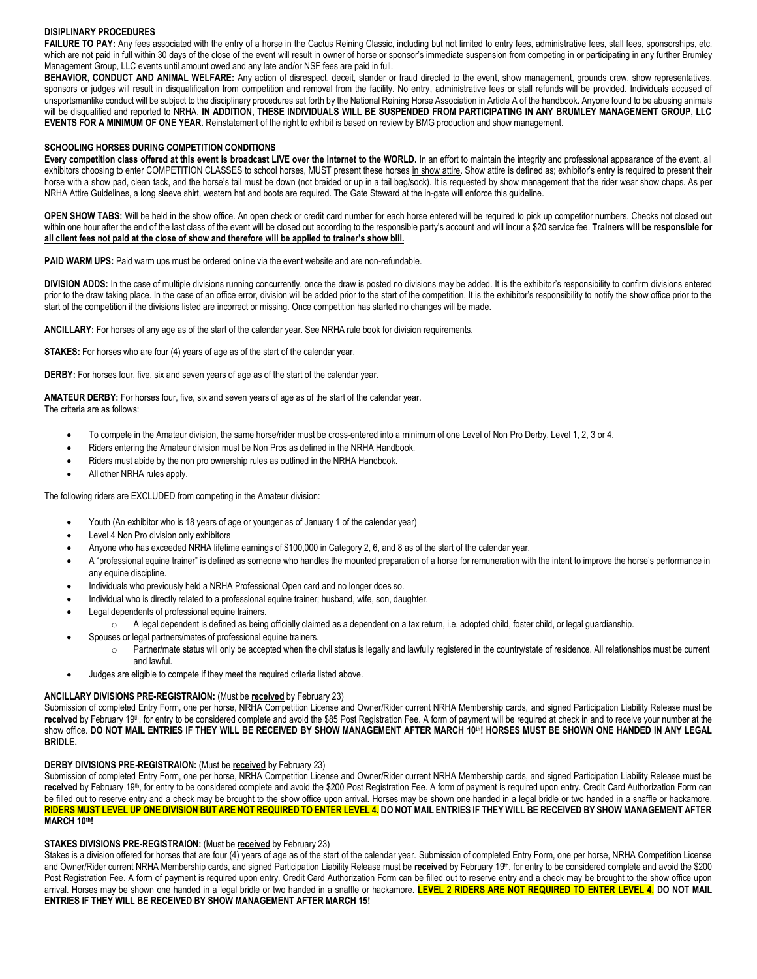# **DISIPLINARY PROCEDURES**

FAILURE TO PAY: Any fees associated with the entry of a horse in the Cactus Reining Classic, including but not limited to entry fees, administrative fees, stall fees, sponsorships, etc. which are not paid in full within 30 days of the close of the event will result in owner of horse or sponsor's immediate suspension from competing in or participating in any further Brumley Management Group, LLC events until amount owed and any late and/or NSF fees are paid in full.

**BEHAVIOR, CONDUCT AND ANIMAL WELFARE:** Any action of disrespect, deceit, slander or fraud directed to the event, show management, grounds crew, show representatives, sponsors or judges will result in disqualification from competition and removal from the facility. No entry, administrative fees or stall refunds will be provided. Individuals accused of unsportsmanlike conduct will be subject to the disciplinary procedures set forth by the National Reining Horse Association in Article A of the handbook. Anyone found to be abusing animals will be disqualified and reported to NRHA. **IN ADDITION, THESE INDIVIDUALS WILL BE SUSPENDED FROM PARTICIPATING IN ANY BRUMLEY MANAGEMENT GROUP, LLC EVENTS FOR A MINIMUM OF ONE YEAR.** Reinstatement of the right to exhibit is based on review by BMG production and show management.

## **SCHOOLING HORSES DURING COMPETITION CONDITIONS**

**Every competition class offered at this event is broadcast LIVE over the internet to the WORLD.** In an effort to maintain the integrity and professional appearance of the event, all exhibitors choosing to enter COMPETITION CLASSES to school horses, MUST present these horses in show attire. Show attire is defined as; exhibitor's entry is required to present their horse with a show pad, clean tack, and the horse's tail must be down (not braided or up in a tail bag/sock). It is requested by show management that the rider wear show chaps. As per NRHA Attire Guidelines, a long sleeve shirt, western hat and boots are required. The Gate Steward at the in-gate will enforce this guideline.

**OPEN SHOW TABS:** Will be held in the show office. An open check or credit card number for each horse entered will be required to pick up competitor numbers. Checks not closed out within one hour after the end of the last class of the event will be closed out according to the responsible party's account and will incur a \$20 service fee. **Trainers will be responsible for all client fees not paid at the close of show and therefore will be applied to trainer's show bill.**

**PAID WARM UPS:** Paid warm ups must be ordered online via the event website and are non-refundable.

**DIVISION ADDS:** In the case of multiple divisions running concurrently, once the draw is posted no divisions may be added. It is the exhibitor's responsibility to confirm divisions entered prior to the draw taking place. In the case of an office error, division will be added prior to the start of the competition. It is the exhibitor's responsibility to notify the show office prior to the start of the competition if the divisions listed are incorrect or missing. Once competition has started no changes will be made.

**ANCILLARY:** For horses of any age as of the start of the calendar year. See NRHA rule book for division requirements.

**STAKES:** For horses who are four (4) years of age as of the start of the calendar year.

**DERBY:** For horses four, five, six and seven years of age as of the start of the calendar year.

**AMATEUR DERBY:** For horses four, five, six and seven years of age as of the start of the calendar year. The criteria are as follows:

- To compete in the Amateur division, the same horse/rider must be cross-entered into a minimum of one Level of Non Pro Derby, Level 1, 2, 3 or 4.
- Riders entering the Amateur division must be Non Pros as defined in the NRHA Handbook.
- Riders must abide by the non pro ownership rules as outlined in the NRHA Handbook.
- All other NRHA rules apply.

The following riders are EXCLUDED from competing in the Amateur division:

- Youth (An exhibitor who is 18 years of age or younger as of January 1 of the calendar year)
- Level 4 Non Pro division only exhibitors
- Anyone who has exceeded NRHA lifetime earnings of \$100,000 in Category 2, 6, and 8 as of the start of the calendar year.
- A "professional equine trainer" is defined as someone who handles the mounted preparation of a horse for remuneration with the intent to improve the horse's performance in any equine discipline.
- Individuals who previously held a NRHA Professional Open card and no longer does so.
- Individual who is directly related to a professional equine trainer; husband, wife, son, daughter.
- Legal dependents of professional equine trainers.
	- o A legal dependent is defined as being officially claimed as a dependent on a tax return, i.e. adopted child, foster child, or legal guardianship.
- Spouses or legal partners/mates of professional equine trainers.
	- $\circ$  Partner/mate status will only be accepted when the civil status is legally and lawfully registered in the country/state of residence. All relationships must be current and lawful.
- Judges are eligible to compete if they meet the required criteria listed above.

# **ANCILLARY DIVISIONS PRE-REGISTRAION:** (Must be **received** by February 23)

Submission of completed Entry Form, one per horse, NRHA Competition License and Owner/Rider current NRHA Membership cards, and signed Participation Liability Release must be received by February 19<sup>th</sup>, for entry to be considered complete and avoid the \$85 Post Registration Fee. A form of payment will be required at check in and to receive your number at the show office. **DO NOT MAIL ENTRIES IF THEY WILL BE RECEIVED BY SHOW MANAGEMENT AFTER MARCH 10 th! HORSES MUST BE SHOWN ONE HANDED IN ANY LEGAL BRIDLE.**

# **DERBY DIVISIONS PRE-REGISTRAION:** (Must be **received** by February 23)

Submission of completed Entry Form, one per horse, NRHA Competition License and Owner/Rider current NRHA Membership cards, and signed Participation Liability Release must be received by February 19th, for entry to be considered complete and avoid the \$200 Post Registration Fee. A form of payment is required upon entry. Credit Card Authorization Form can be filled out to reserve entry and a check may be brought to the show office upon arrival. Horses may be shown one handed in a legal bridle or two handed in a snaffle or hackamore. **RIDERS MUST LEVEL UP ONE DIVISION BUT ARE NOT REQUIRED TO ENTER LEVEL 4. DO NOT MAIL ENTRIES IF THEY WILL BE RECEIVED BY SHOW MANAGEMENT AFTER MARCH 10th!** 

# **STAKES DIVISIONS PRE-REGISTRAION:** (Must be **received** by February 23)

Stakes is a division offered for horses that are four (4) years of age as of the start of the calendar year. Submission of completed Entry Form, one per horse, NRHA Competition License and Owner/Rider current NRHA Membership cards, and signed Participation Liability Release must be received by February 19<sup>th</sup>, for entry to be considered complete and avoid the \$200 Post Registration Fee. A form of payment is required upon entry. Credit Card Authorization Form can be filled out to reserve entry and a check may be brought to the show office upon arrival. Horses may be shown one handed in a legal bridle or two handed in a snaffle or hackamore. **LEVEL 2 RIDERS ARE NOT REQUIRED TO ENTER LEVEL 4. DO NOT MAIL ENTRIES IF THEY WILL BE RECEIVED BY SHOW MANAGEMENT AFTER MARCH 15!**